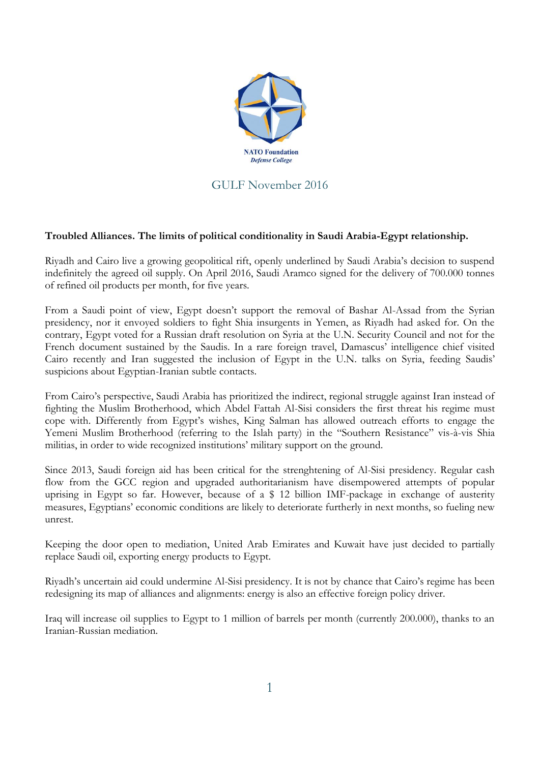

## GULF November 2016

## **Troubled Alliances. The limits of political conditionality in Saudi Arabia-Egypt relationship.**

Riyadh and Cairo live a growing geopolitical rift, openly underlined by Saudi Arabia's decision to suspend indefinitely the agreed oil supply. On April 2016, Saudi Aramco signed for the delivery of 700.000 tonnes of refined oil products per month, for five years.

From a Saudi point of view, Egypt doesn't support the removal of Bashar Al-Assad from the Syrian presidency, nor it envoyed soldiers to fight Shia insurgents in Yemen, as Riyadh had asked for. On the contrary, Egypt voted for a Russian draft resolution on Syria at the U.N. Security Council and not for the French document sustained by the Saudis. In a rare foreign travel, Damascus' intelligence chief visited Cairo recently and Iran suggested the inclusion of Egypt in the U.N. talks on Syria, feeding Saudis' suspicions about Egyptian-Iranian subtle contacts.

From Cairo's perspective, Saudi Arabia has prioritized the indirect, regional struggle against Iran instead of fighting the Muslim Brotherhood, which Abdel Fattah Al-Sisi considers the first threat his regime must cope with. Differently from Egypt's wishes, King Salman has allowed outreach efforts to engage the Yemeni Muslim Brotherhood (referring to the Islah party) in the "Southern Resistance" vis-à-vis Shia militias, in order to wide recognized institutions' military support on the ground.

Since 2013, Saudi foreign aid has been critical for the strenghtening of Al-Sisi presidency. Regular cash flow from the GCC region and upgraded authoritarianism have disempowered attempts of popular uprising in Egypt so far. However, because of a \$ 12 billion IMF-package in exchange of austerity measures, Egyptians' economic conditions are likely to deteriorate furtherly in next months, so fueling new unrest.

Keeping the door open to mediation, United Arab Emirates and Kuwait have just decided to partially replace Saudi oil, exporting energy products to Egypt.

Riyadh's uncertain aid could undermine Al-Sisi presidency. It is not by chance that Cairo's regime has been redesigning its map of alliances and alignments: energy is also an effective foreign policy driver.

Iraq will increase oil supplies to Egypt to 1 million of barrels per month (currently 200.000), thanks to an Iranian-Russian mediation.